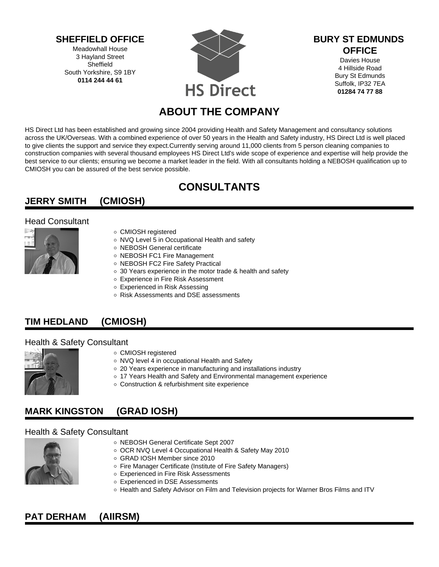**SHEFFIELD OFFICE**

Meadowhall House 3 Hayland Street Sheffield South Yorkshire, S9 1BY **0114 244 44 61**



#### **BURY ST EDMUNDS OFFICE**

Davies House 4 Hillside Road Bury St Edmunds Suffolk, IP32 7EA **01284 74 77 88**

# **ABOUT THE COMPANY**

HS Direct Ltd has been established and growing since 2004 providing Health and Safety Management and consultancy solutions across the UK/Overseas. With a combined experience of over 50 years in the Health and Safety industry, HS Direct Ltd is well placed to give clients the support and service they expect.Currently serving around 11,000 clients from 5 person cleaning companies to construction companies with several thousand employees HS Direct Ltd's wide scope of experience and expertise will help provide the best service to our clients; ensuring we become a market leader in the field. With all consultants holding a NEBOSH qualification up to CMIOSH you can be assured of the best service possible.

# **CONSULTANTS**

## **JERRY SMITH (CMIOSH)**

#### Head Consultant



- CMIOSH registered
- o NVQ Level 5 in Occupational Health and safety
- NEBOSH General certificate
- o NEBOSH FC1 Fire Management
- o NEBOSH FC2 Fire Safety Practical
- o 30 Years experience in the motor trade & health and safety
- Experience in Fire Risk Assessment
- Experienced in Risk Assessing
- Risk Assessments and DSE assessments

### **TIM HEDLAND (CMIOSH)**

#### Health & Safety Consultant



- CMIOSH registered
- NVQ level 4 in occupational Health and Safety
- 20 Years experience in manufacturing and installations industry
- 17 Years Health and Safety and Environmental management experience
- Construction & refurbishment site experience

### **MARK KINGSTON (GRAD IOSH)**

#### Health & Safety Consultant



- NEBOSH General Certificate Sept 2007
- OCR NVQ Level 4 Occupational Health & Safety May 2010
- GRAD IOSH Member since 2010
- o Fire Manager Certificate (Institute of Fire Safety Managers)
- Experienced in Fire Risk Assessments
- Experienced in DSE Assessments
- o Health and Safety Advisor on Film and Television projects for Warner Bros Films and ITV

### **PAT DERHAM (AIIRSM)**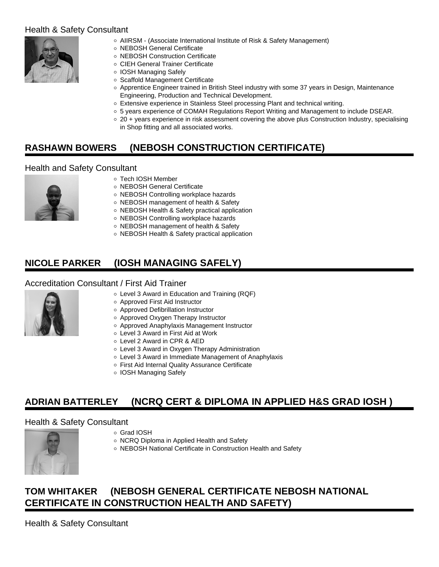#### Health & Safety Consultant



- AIIRSM (Associate International Institute of Risk & Safety Management)
- NEBOSH General Certificate
- NEBOSH Construction Certificate
- CIEH General Trainer Certificate
- IOSH Managing Safely
- Scaffold Management Certificate
- o Apprentice Engineer trained in British Steel industry with some 37 years in Design, Maintenance Engineering, Production and Technical Development.
- Extensive experience in Stainless Steel processing Plant and technical writing.
- 5 years experience of COMAH Regulations Report Writing and Management to include DSEAR.
- 20 + years experience in risk assessment covering the above plus Construction Industry, specialising in Shop fitting and all associated works.

## **RASHAWN BOWERS (NEBOSH CONSTRUCTION CERTIFICATE)**

#### Health and Safety Consultant



- Tech IOSH Member
- o NEBOSH General Certificate
- NEBOSH Controlling workplace hazards
- o NEBOSH management of health & Safety
- o NEBOSH Health & Safety practical application
- o NEBOSH Controlling workplace hazards
- o NEBOSH management of health & Safety
- o NEBOSH Health & Safety practical application

## **NICOLE PARKER (IOSH MANAGING SAFELY)**

#### Accreditation Consultant / First Aid Trainer



- Level 3 Award in Education and Training (RQF)
- Approved First Aid Instructor
- Approved Defibrillation Instructor
- Approved Oxygen Therapy Instructor
- Approved Anaphylaxis Management Instructor
- Level 3 Award in First Aid at Work
- Level 2 Award in CPR & AED
- Level 3 Award in Oxygen Therapy Administration
- Level 3 Award in Immediate Management of Anaphylaxis
- First Aid Internal Quality Assurance Certificate
- IOSH Managing Safely

### **ADRIAN BATTERLEY (NCRQ CERT & DIPLOMA IN APPLIED H&S GRAD IOSH )**

#### Health & Safety Consultant



- Grad IOSH
- o NCRQ Diploma in Applied Health and Safety
- o NEBOSH National Certificate in Construction Health and Safety

## **TOM WHITAKER (NEBOSH GENERAL CERTIFICATE NEBOSH NATIONAL CERTIFICATE IN CONSTRUCTION HEALTH AND SAFETY)**

Health & Safety Consultant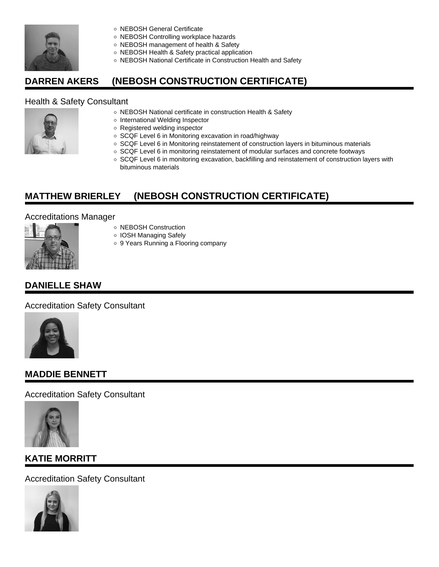

- o NEBOSH General Certificate
- o NEBOSH Controlling workplace hazards
- o NEBOSH management of health & Safety
- o NEBOSH Health & Safety practical application
- o NEBOSH National Certificate in Construction Health and Safety

## **DARREN AKERS (NEBOSH CONSTRUCTION CERTIFICATE)**

#### Health & Safety Consultant



- o NEBOSH National certificate in construction Health & Safety
- o International Welding Inspector
- Registered welding inspector
- o SCQF Level 6 in Monitoring excavation in road/highway
- o SCQF Level 6 in Monitoring reinstatement of construction layers in bituminous materials
- o SCQF Level 6 in monitoring reinstatement of modular surfaces and concrete footways
- o SCQF Level 6 in monitoring excavation, backfilling and reinstatement of construction layers with bituminous materials

## **MATTHEW BRIERLEY (NEBOSH CONSTRUCTION CERTIFICATE)**

#### Accreditations Manager



- o IOSH Managing Safely
- 9 Years Running a Flooring company

### **DANIELLE SHAW**

Accreditation Safety Consultant



### **MADDIE BENNETT**

Accreditation Safety Consultant



### **KATIE MORRITT**

Accreditation Safety Consultant